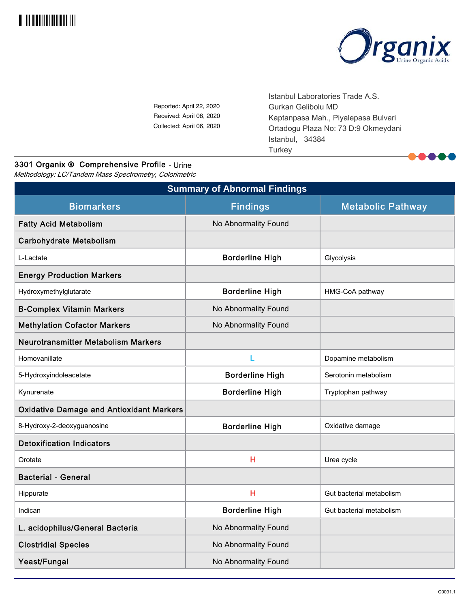



Reported: April 22, 2020 Received: April 08, 2020 Collected: April 06, 2020 Istanbul Laboratories Trade A.S. Gurkan Gelibolu MD Kaptanpasa Mah., Piyalepasa Bulvari Ortadogu Plaza No: 73 D:9 Okmeydani Istanbul, 34384 **Turkey** 

# 3301 Organix ® Comprehensive Profile - Urine

Methodology: LC/Tandem Mass Spectrometry, Colorimetric

| <b>Summary of Abnormal Findings</b>             |                        |                          |  |  |  |  |
|-------------------------------------------------|------------------------|--------------------------|--|--|--|--|
| <b>Biomarkers</b>                               | <b>Findings</b>        | <b>Metabolic Pathway</b> |  |  |  |  |
| <b>Fatty Acid Metabolism</b>                    | No Abnormality Found   |                          |  |  |  |  |
| <b>Carbohydrate Metabolism</b>                  |                        |                          |  |  |  |  |
| L-Lactate                                       | <b>Borderline High</b> | Glycolysis               |  |  |  |  |
| <b>Energy Production Markers</b>                |                        |                          |  |  |  |  |
| Hydroxymethylglutarate                          | <b>Borderline High</b> | HMG-CoA pathway          |  |  |  |  |
| <b>B-Complex Vitamin Markers</b>                | No Abnormality Found   |                          |  |  |  |  |
| <b>Methylation Cofactor Markers</b>             | No Abnormality Found   |                          |  |  |  |  |
| <b>Neurotransmitter Metabolism Markers</b>      |                        |                          |  |  |  |  |
| Homovanillate                                   | L                      | Dopamine metabolism      |  |  |  |  |
| 5-Hydroxyindoleacetate                          | <b>Borderline High</b> | Serotonin metabolism     |  |  |  |  |
| Kynurenate                                      | <b>Borderline High</b> | Tryptophan pathway       |  |  |  |  |
| <b>Oxidative Damage and Antioxidant Markers</b> |                        |                          |  |  |  |  |
| 8-Hydroxy-2-deoxyguanosine                      | <b>Borderline High</b> | Oxidative damage         |  |  |  |  |
| <b>Detoxification Indicators</b>                |                        |                          |  |  |  |  |
| Orotate                                         | H                      | Urea cycle               |  |  |  |  |
| <b>Bacterial - General</b>                      |                        |                          |  |  |  |  |
| Hippurate                                       | H                      | Gut bacterial metabolism |  |  |  |  |
| Indican                                         | <b>Borderline High</b> | Gut bacterial metabolism |  |  |  |  |
| L. acidophilus/General Bacteria                 | No Abnormality Found   |                          |  |  |  |  |
| <b>Clostridial Species</b>                      | No Abnormality Found   |                          |  |  |  |  |
| Yeast/Fungal                                    | No Abnormality Found   |                          |  |  |  |  |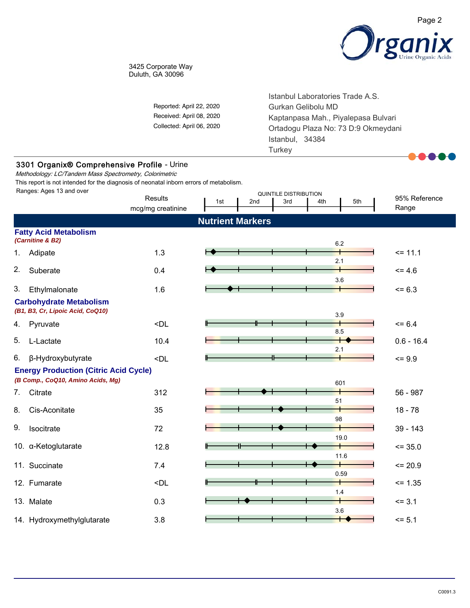

#### 3425 Corporate Way Duluth, GA 30096

|    |                                                                                                       | Reported: April 22, 2020<br>Received: April 08, 2020<br>Collected: April 06, 2020                                           |                         |     | Istanbul Laboratories Trade A.S.<br>Gurkan Gelibolu MD<br>Kaptanpasa Mah., Piyalepasa Bulvari<br>Ortadogu Plaza No: 73 D:9 Okmeydani<br>Istanbul, 34384<br>Turkey |     |         |                        |  |
|----|-------------------------------------------------------------------------------------------------------|-----------------------------------------------------------------------------------------------------------------------------|-------------------------|-----|-------------------------------------------------------------------------------------------------------------------------------------------------------------------|-----|---------|------------------------|--|
|    | 3301 Organix® Comprehensive Profile - Urine<br>Methodology: LC/Tandem Mass Spectrometry, Colorimetric |                                                                                                                             |                         |     |                                                                                                                                                                   |     |         |                        |  |
|    | This report is not intended for the diagnosis of neonatal inborn errors of metabolism.                |                                                                                                                             |                         |     |                                                                                                                                                                   |     |         |                        |  |
|    | Ranges: Ages 13 and over                                                                              | <b>Results</b><br>mcg/mg creatinine                                                                                         | 1st                     | 2nd | <b>QUINTILE DISTRIBUTION</b><br>3rd                                                                                                                               | 4th | 5th     | 95% Reference<br>Range |  |
|    |                                                                                                       |                                                                                                                             | <b>Nutrient Markers</b> |     |                                                                                                                                                                   |     |         |                        |  |
|    | <b>Fatty Acid Metabolism</b><br>(Carnitine & B2)                                                      |                                                                                                                             |                         |     |                                                                                                                                                                   |     | 6.2     |                        |  |
| 1. | Adipate                                                                                               | 1.3                                                                                                                         |                         |     |                                                                                                                                                                   |     |         | $= 11.1$               |  |
| 2. | Suberate                                                                                              | 0.4                                                                                                                         |                         |     |                                                                                                                                                                   |     | 2.1     | $= 4.6$                |  |
| 3. | Ethylmalonate                                                                                         | 1.6                                                                                                                         |                         |     |                                                                                                                                                                   |     | 3.6     | $= 6.3$                |  |
|    | <b>Carbohydrate Metabolism</b><br>(B1, B3, Cr, Lipoic Acid, CoQ10)                                    |                                                                                                                             |                         |     |                                                                                                                                                                   |     | 3.9     |                        |  |
| 4. | Pyruvate                                                                                              | $\n  $                                                                                                                      |                         |     |                                                                                                                                                                   |     |         | $= 6.4$                |  |
| 5. | L-Lactate                                                                                             | 10.4                                                                                                                        |                         |     |                                                                                                                                                                   |     | 8.5     | $0.6 - 16.4$           |  |
| 6. | β-Hydroxybutyrate                                                                                     | <dl< td=""><td></td><td></td><td></td><td></td><td>2.1</td><td><math>= 9.9</math></td></dl<>                                |                         |     |                                                                                                                                                                   |     | 2.1     | $= 9.9$                |  |
|    | <b>Energy Production (Citric Acid Cycle)</b><br>(B Comp., CoQ10, Amino Acids, Mg)                     |                                                                                                                             |                         |     |                                                                                                                                                                   |     | 601     |                        |  |
| 7. | Citrate                                                                                               | 312                                                                                                                         |                         |     |                                                                                                                                                                   |     |         | 56 - 987               |  |
| 8. | Cis-Aconitate                                                                                         | 35                                                                                                                          |                         |     |                                                                                                                                                                   |     | 51      | $18 - 78$              |  |
| 9. | Isocitrate                                                                                            | 72                                                                                                                          |                         |     |                                                                                                                                                                   |     | 98      | $39 - 143$             |  |
|    | 10. a-Ketoglutarate                                                                                   | 12.8                                                                                                                        |                         |     |                                                                                                                                                                   |     | 19.0    | $= 35.0$               |  |
|    | 11. Succinate                                                                                         | 7.4                                                                                                                         |                         |     |                                                                                                                                                                   |     | 11.6    | $= 20.9$               |  |
|    |                                                                                                       |                                                                                                                             |                         |     |                                                                                                                                                                   |     | 0.59    |                        |  |
|    | 12. Fumarate                                                                                          | <dl< td=""><td></td><td></td><td></td><td></td><td><math display="inline">1.4</math></td><td><math>= 1.35</math></td></dl<> |                         |     |                                                                                                                                                                   |     | $1.4$   | $= 1.35$               |  |
|    | 13. Malate                                                                                            | 0.3                                                                                                                         |                         |     |                                                                                                                                                                   |     | $3.6\,$ | $= 3.1$                |  |
|    | 14. Hydroxymethylglutarate                                                                            | 3.8                                                                                                                         |                         |     |                                                                                                                                                                   |     | ┶       | $= 5.1$                |  |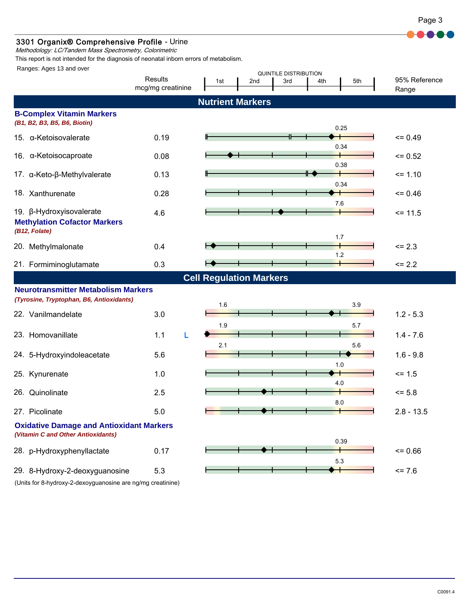

### 3301 Organix® Comprehensive Profile - Urine

Methodology: LC/Tandem Mass Spectrometry, Colorimetric

This report is not intended for the diagnosis of neonatal inborn errors of metabolism.

Ranges: Ages 13 and over

| <b>Nutrient Markers</b><br><b>B-Complex Vitamin Markers</b><br>(B1, B2, B3, B5, B6, Biotin)<br>0.25<br>15. α-Ketoisovalerate<br>0.19<br>$= 0.49$<br>0.34<br>16. α-Ketoisocaproate<br>0.08<br>$= 0.52$<br>0.38<br>╄<br>0.13<br>$= 1.10$<br>17. α-Keto-β-Methylvalerate<br>0.34<br>18. Xanthurenate<br>0.28<br>$= 0.46$<br>7.6<br>19. β-Hydroxyisovalerate<br>4.6<br>$= 11.5$<br><b>Methylation Cofactor Markers</b><br>(B12, Folate)<br>1.7<br>0.4<br>$= 2.3$<br>20. Methylmalonate<br>1.2<br>21. Formiminoglutamate<br>0.3<br>$\le$ 2.2<br><b>Cell Regulation Markers</b><br><b>Neurotransmitter Metabolism Markers</b><br>(Tyrosine, Tryptophan, B6, Antioxidants)<br>1.6<br>3.9<br>3.0<br>22. Vanilmandelate<br>$1.2 - 5.3$<br>1.9<br>5.7<br>23. Homovanillate<br>1.1<br>$1.4 - 7.6$<br>L<br>2.1<br>5.6<br>5.6<br>$1.6 - 9.8$<br>24. 5-Hydroxyindoleacetate<br>1.0<br>1.0<br>$= 1.5$<br>25. Kynurenate<br>4.0<br>2.5<br>26. Quinolinate<br>$= 5.8$<br>8.0<br>27. Picolinate<br>5.0<br>$2.8 - 13.5$<br><b>Oxidative Damage and Antioxidant Markers</b><br>(Vitamin C and Other Antioxidants)<br>0.39<br>28. p-Hydroxyphenyllactate |  | Results<br>mcg/mg creatinine | 1st | 2nd | <b>QUINTILE DISTRIBUTION</b><br>3rd | 4th<br>5th | 95% Reference<br>Range |
|-------------------------------------------------------------------------------------------------------------------------------------------------------------------------------------------------------------------------------------------------------------------------------------------------------------------------------------------------------------------------------------------------------------------------------------------------------------------------------------------------------------------------------------------------------------------------------------------------------------------------------------------------------------------------------------------------------------------------------------------------------------------------------------------------------------------------------------------------------------------------------------------------------------------------------------------------------------------------------------------------------------------------------------------------------------------------------------------------------------------------------------|--|------------------------------|-----|-----|-------------------------------------|------------|------------------------|
|                                                                                                                                                                                                                                                                                                                                                                                                                                                                                                                                                                                                                                                                                                                                                                                                                                                                                                                                                                                                                                                                                                                                     |  |                              |     |     |                                     |            |                        |
|                                                                                                                                                                                                                                                                                                                                                                                                                                                                                                                                                                                                                                                                                                                                                                                                                                                                                                                                                                                                                                                                                                                                     |  |                              |     |     |                                     |            |                        |
|                                                                                                                                                                                                                                                                                                                                                                                                                                                                                                                                                                                                                                                                                                                                                                                                                                                                                                                                                                                                                                                                                                                                     |  |                              |     |     |                                     |            |                        |
|                                                                                                                                                                                                                                                                                                                                                                                                                                                                                                                                                                                                                                                                                                                                                                                                                                                                                                                                                                                                                                                                                                                                     |  |                              |     |     |                                     |            |                        |
|                                                                                                                                                                                                                                                                                                                                                                                                                                                                                                                                                                                                                                                                                                                                                                                                                                                                                                                                                                                                                                                                                                                                     |  |                              |     |     |                                     |            |                        |
|                                                                                                                                                                                                                                                                                                                                                                                                                                                                                                                                                                                                                                                                                                                                                                                                                                                                                                                                                                                                                                                                                                                                     |  |                              |     |     |                                     |            |                        |
|                                                                                                                                                                                                                                                                                                                                                                                                                                                                                                                                                                                                                                                                                                                                                                                                                                                                                                                                                                                                                                                                                                                                     |  |                              |     |     |                                     |            |                        |
|                                                                                                                                                                                                                                                                                                                                                                                                                                                                                                                                                                                                                                                                                                                                                                                                                                                                                                                                                                                                                                                                                                                                     |  |                              |     |     |                                     |            |                        |
|                                                                                                                                                                                                                                                                                                                                                                                                                                                                                                                                                                                                                                                                                                                                                                                                                                                                                                                                                                                                                                                                                                                                     |  |                              |     |     |                                     |            |                        |
|                                                                                                                                                                                                                                                                                                                                                                                                                                                                                                                                                                                                                                                                                                                                                                                                                                                                                                                                                                                                                                                                                                                                     |  |                              |     |     |                                     |            |                        |
|                                                                                                                                                                                                                                                                                                                                                                                                                                                                                                                                                                                                                                                                                                                                                                                                                                                                                                                                                                                                                                                                                                                                     |  |                              |     |     |                                     |            |                        |
|                                                                                                                                                                                                                                                                                                                                                                                                                                                                                                                                                                                                                                                                                                                                                                                                                                                                                                                                                                                                                                                                                                                                     |  |                              |     |     |                                     |            |                        |
|                                                                                                                                                                                                                                                                                                                                                                                                                                                                                                                                                                                                                                                                                                                                                                                                                                                                                                                                                                                                                                                                                                                                     |  |                              |     |     |                                     |            |                        |
|                                                                                                                                                                                                                                                                                                                                                                                                                                                                                                                                                                                                                                                                                                                                                                                                                                                                                                                                                                                                                                                                                                                                     |  |                              |     |     |                                     |            |                        |
|                                                                                                                                                                                                                                                                                                                                                                                                                                                                                                                                                                                                                                                                                                                                                                                                                                                                                                                                                                                                                                                                                                                                     |  |                              |     |     |                                     |            |                        |
|                                                                                                                                                                                                                                                                                                                                                                                                                                                                                                                                                                                                                                                                                                                                                                                                                                                                                                                                                                                                                                                                                                                                     |  |                              |     |     |                                     |            |                        |
|                                                                                                                                                                                                                                                                                                                                                                                                                                                                                                                                                                                                                                                                                                                                                                                                                                                                                                                                                                                                                                                                                                                                     |  |                              |     |     |                                     |            |                        |
|                                                                                                                                                                                                                                                                                                                                                                                                                                                                                                                                                                                                                                                                                                                                                                                                                                                                                                                                                                                                                                                                                                                                     |  |                              |     |     |                                     |            |                        |
| 5.3                                                                                                                                                                                                                                                                                                                                                                                                                                                                                                                                                                                                                                                                                                                                                                                                                                                                                                                                                                                                                                                                                                                                 |  | 0.17                         |     |     |                                     |            | $= 0.66$               |
| 29. 8-Hydroxy-2-deoxyguanosine<br>5.3<br>$= 7.6$<br>(Units for 8-hydroxy-2-dexoyguanosine are ng/mg creatinine)                                                                                                                                                                                                                                                                                                                                                                                                                                                                                                                                                                                                                                                                                                                                                                                                                                                                                                                                                                                                                     |  |                              |     |     |                                     |            |                        |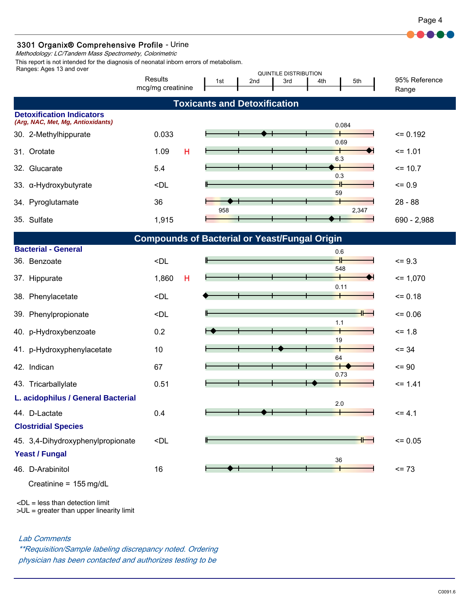

## 3301 Organix® Comprehensive Profile - Urine

Methodology: LC/Tandem Mass Spectrometry, Colorimetric

Ranges: Ages 13 and over This report is not intended for the diagnosis of neonatal inborn errors of metabolism.

| Ranges. Ages to and Over           |                                                                                           |     |                                     | <b>QUINTILE DISTRIBUTION</b> |          |                        |
|------------------------------------|-------------------------------------------------------------------------------------------|-----|-------------------------------------|------------------------------|----------|------------------------|
|                                    | Results<br>mcg/mg creatinine                                                              | 1st | 2nd                                 | 3rd<br>4th                   | 5th      | 95% Reference<br>Range |
|                                    |                                                                                           |     | <b>Toxicants and Detoxification</b> |                              |          |                        |
| <b>Detoxification Indicators</b>   |                                                                                           |     |                                     |                              |          |                        |
| (Arg, NAC, Met, Mg, Antioxidants)  |                                                                                           |     |                                     |                              | 0.084    |                        |
| 30. 2-Methylhippurate              | 0.033                                                                                     |     |                                     |                              | 0.69     | $= 0.192$              |
| Orotate<br>31.                     | н<br>1.09                                                                                 |     |                                     |                              | 6.3      | $= 1.01$               |
| 32. Glucarate                      | 5.4                                                                                       |     |                                     | ⊣                            |          | $= 10.7$               |
| 33. a-Hydroxybutyrate              | <dl< td=""><td></td><td></td><td>59</td><td>0.3</td><td><math>= 0.9</math></td></dl<>     |     |                                     | 59                           | 0.3      | $= 0.9$                |
| Pyroglutamate<br>34.               | 36                                                                                        |     |                                     |                              |          | $28 - 88$              |
| 35. Sulfate                        | 1,915                                                                                     | 958 |                                     |                              | 2,347    | 690 - 2,988            |
|                                    | <b>Compounds of Bacterial or Yeast/Fungal Origin</b>                                      |     |                                     |                              |          |                        |
| <b>Bacterial - General</b>         |                                                                                           |     |                                     |                              | 0.6      |                        |
| 36. Benzoate                       | <dl< td=""><td></td><td></td><td></td><td>╫<br/>548</td><td><math>= 9.3</math></td></dl<> |     |                                     |                              | ╫<br>548 | $= 9.3$                |
| 37. Hippurate                      | 1,860<br>н                                                                                |     |                                     |                              | 0.11     | $= 1,070$              |
| 38. Phenylacetate                  | <dl< td=""><td></td><td></td><td></td><td></td><td><math>= 0.18</math></td></dl<>         |     |                                     |                              |          | $= 0.18$               |
| 39. Phenylpropionate               | <dl< td=""><td></td><td></td><td></td><td></td><td><math>= 0.06</math></td></dl<>         |     |                                     |                              |          | $= 0.06$               |
| 40. p-Hydroxybenzoate              | 0.2                                                                                       |     |                                     | 19                           | 1.1      | $= 1.8$                |
| 41. p-Hydroxyphenylacetate         | 10                                                                                        |     |                                     |                              |          | $= 34$                 |
| 42. Indican                        | 67                                                                                        |     |                                     | 64                           | 0.73     | $= 90$                 |
| 43. Tricarballylate                | 0.51                                                                                      |     |                                     |                              |          | $= 1.41$               |
| L. acidophilus / General Bacterial |                                                                                           |     |                                     |                              | 2.0      |                        |
| 44. D-Lactate                      | 0.4                                                                                       |     |                                     |                              |          | $= 4.1$                |
| <b>Clostridial Species</b>         |                                                                                           |     |                                     |                              |          |                        |
| 45. 3,4-Dihydroxyphenylpropionate  | <dl< td=""><td></td><td></td><td></td><td></td><td><math>= 0.05</math></td></dl<>         |     |                                     |                              |          | $= 0.05$               |
| <b>Yeast / Fungal</b><br>36        |                                                                                           |     |                                     |                              |          |                        |
| 46. D-Arabinitol                   | 16                                                                                        |     |                                     |                              |          | $= 73$                 |

Creatinine =  $155 \text{ mg/dL}$ 

 $\n <$ DL = less than detection limit

>UL = greater than upper linearity limit

Lab Comments

\*\*Requisition/Sample labeling discrepancy noted. Ordering physician has been contacted and authorizes testing to be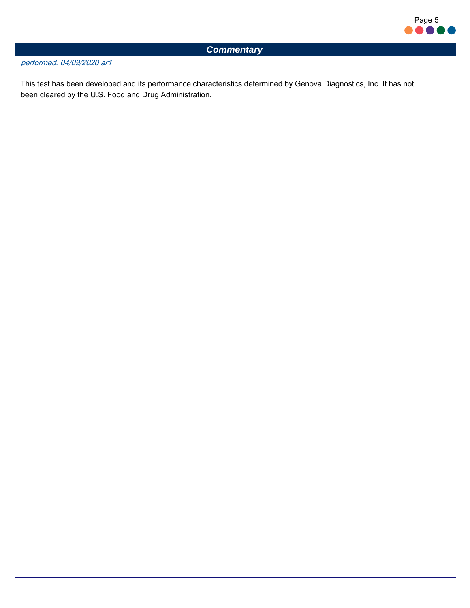

# *Commentary*

### performed. 04/09/2020 ar1

This test has been developed and its performance characteristics determined by Genova Diagnostics, Inc. It has not been cleared by the U.S. Food and Drug Administration.